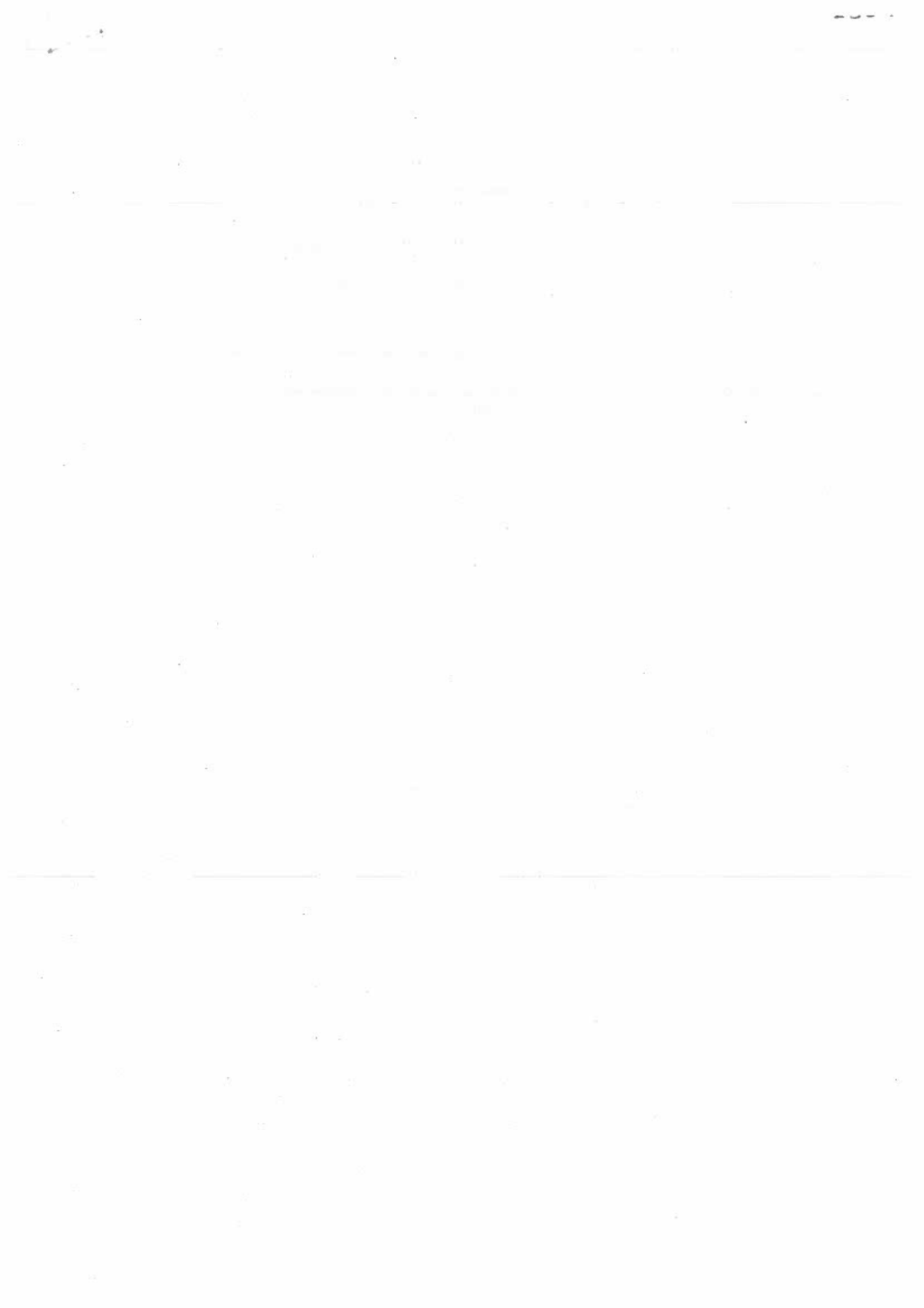#### **WILTSHIRE COUNCIL**

## **ROAD TRAFFIC REGULATION ACT 1984 TRAFFIC MANAGEMENT ACT 2004**

## THE COUNTY **OF WILTSHIRE (VARIOUS ROADS. SALISBURY)** (PROHIBITION **AND RESTRICTION OF WAITING, LOADING AND UNLOADING) ORDER 2000 (AMENDMENT NO. 18) ORDER 2009**

The Council of the County of Wiltshire in exercise of its powers under Sections 1(1), 2(1) to (3), 4 and Part IV of Schedule 9 of the Road Traffic Regulation Act 1984 ("the Act") as **amended,** the Traffic **Management** Act 2004 **(hereinafter referred to as "the** Act of 2004") as **amended and of all other enabling powers and after consultation** with the Chief Officer of Police in accordance with Part III of Schedule 9 to the Act, hereby makes the following Order.

- 1. The County of Wiltshire (Various Roads, Salisbury) (Prohibition and Restriction of Waiting, Loading and Unloading) Order 2000 (hereinafter referred to as "the Order of **2000") shall be further amended as follows:**
	- (a) by the deletion from Schedule 2 of the Order of 2000 of the lengths of road specified in Schedule 1 to this Order;
	- (b) by the deletion from Schedule 3 of the Order of 2000 of the lengths of road specified in Schedule 2 to this Order;
	- (c) by the deletion from Schedule 5 of the Order of 2000 of the lengths of road specified in Schedule 3 to this Order.
- 2. This Order shall come into operation on 7 December 2009 and may be cited as The County of Wiltshire (Various Roads, Salisbury) (Prohibition and Restriction of Waiting, Loading and Unloading) Order 2000 (Amendment No.18) Order 2009.

#### **Schedule I Deletions from Schedule 2 of the Order of 2000 No Waiting** At Any Time

| <b>Road Name</b>     | <b>Side</b>  | <b>Description</b>                                                                                                                                                                       |
|----------------------|--------------|------------------------------------------------------------------------------------------------------------------------------------------------------------------------------------------|
| <b>Bourne Avenue</b> | East         | From its southern junction with Wain-a-long Road to a point 70<br>metres north of the centreline of Laverstock Road at the railway<br>bridge                                             |
| <b>Bourne Avenue</b> | <b>North</b> | From its northern junction with Wain-a-long Road to a point 27<br>metres east of that junction                                                                                           |
| <b>Bourne Avenue</b> | <b>North</b> | From a point 50 metres east of its northern junction with Wain-a-long<br>Road to a point 54 metres east of that junction                                                                 |
| <b>Bourne Avenue</b> | <b>North</b> | From a point 78 metres east of its northern junction with Wain-a-long<br>Road to a point 27 metres north of a point in line with the boundary<br>between numbers 14 and 16 Bourne Avenue |

AMEND18 05 11 09 Page 1 of 11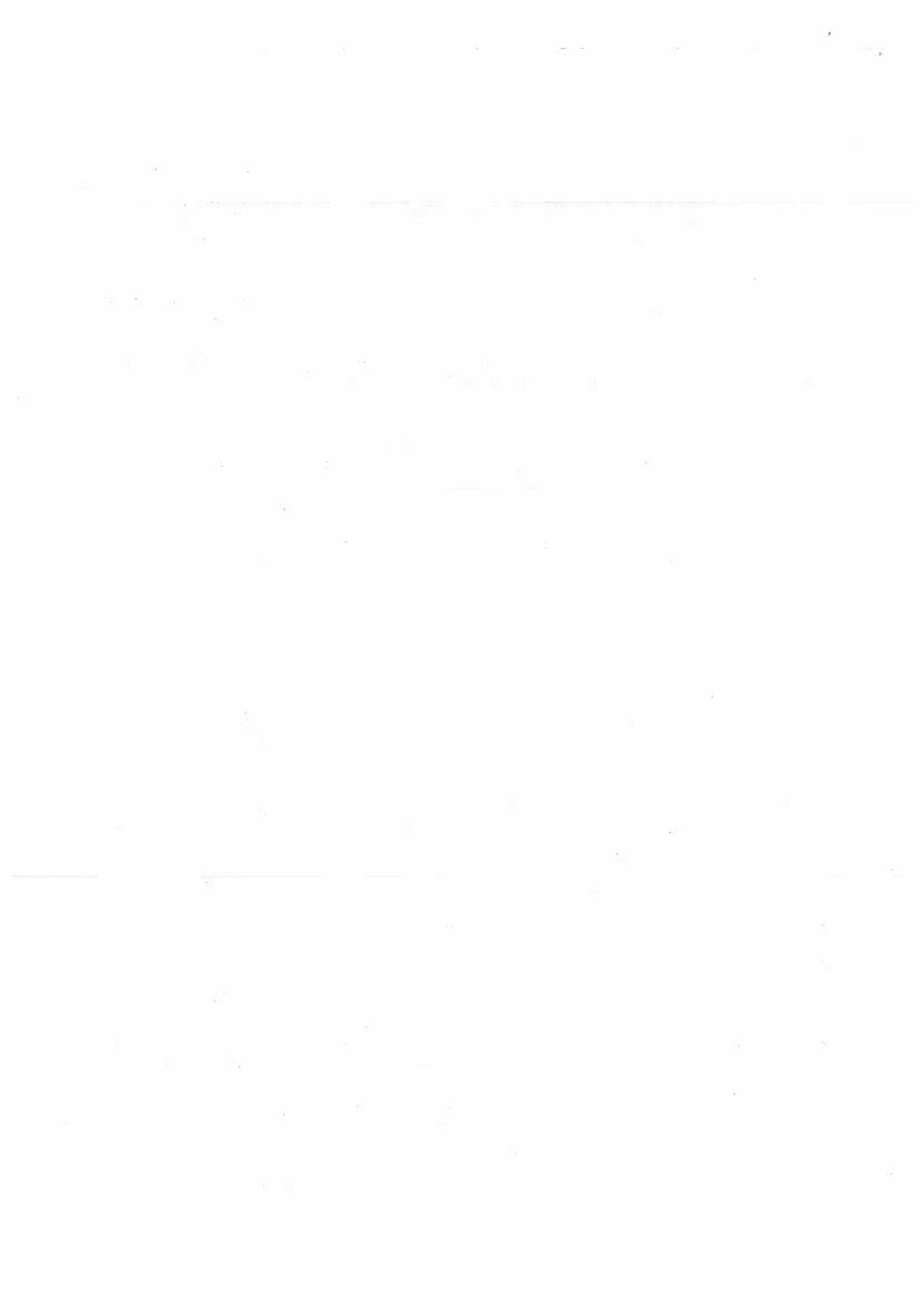#### **Schedule 1 (continued) Deletions from Schedule** 2 of the Order of 2000 **No Waiting At** Any Time

| <b>Road Name</b>                             | <b>Side</b>  | <b>Description</b>                                                                                                        |
|----------------------------------------------|--------------|---------------------------------------------------------------------------------------------------------------------------|
| <b>Bourne Avenue</b>                         | South        | From its northern junction with Wain-a-long Road to a point 26<br>metres east of that junction                            |
| <b>Bourne Avenue</b>                         | South        | From a point 38 metres east of its northern junction with Wain-a-long<br>Road to a point 46 metres east of that junction  |
| <b>Byways Close</b>                          | North        | From a point 19 metres north-east of its junction with Fowler's Road<br>to a point 26 metres north-east of that junction  |
| <b>Elm Grove Road</b>                        | North        | From its junction with Wessex Road to a point 51 metres west of that<br>junction                                          |
| <b>Elm Grove Road</b>                        | North-East   | From its junction with Kelsey Road to a point 18 metres south-east of<br>that junction                                    |
| <b>Elm Grove Road</b>                        | North-East   | From a point 22 metres north-west of its junction with Clarendon<br>Road to a point 48 metres south-east of that junction |
| <b>Elm Grove Road</b>                        | South-West   | From its junction with Kelsey Road to a point 63 metres south-east of<br>that junction                                    |
| <b>Elm Grove Road</b>                        | South-West   | From a point 8 metres west of its junction with Elm Grove to a point<br>23 metres west of its junction with Wessex Road   |
| Elm Grove Road                               | South        | From its junction with Kelsey Road to a point 12 metres south-east of<br>that junction                                    |
| <b>Elm Grove Road</b><br>Access to Nos. 2-14 | <b>North</b> | The complete length                                                                                                       |
| Elm Grove Road<br>Access to Nos. 2-14        | South        | From its junction with Elm Grove Road to a point in line with the<br>boundary between numbers 12 and 14 Elm Grove Road    |
| <b>Fairview Road</b>                         | <b>Both</b>  | From its junction with Kelsey Road to a point 10 metres north of that<br>junction                                         |
| <b>Fairview Road</b>                         | West         | From its junction with Manor Road to a point 58 metres south-east of<br>that junction                                     |
| <b>Farley Road</b>                           | East         | The complete length                                                                                                       |
| <b>Fowler's Hill</b>                         | <b>North</b> | From a point 21 metres north-east of its junction with<br>Tollgate Road to a point 33 metres north-east of that junction  |
| Fowler's Hill                                | <b>North</b> | From a point 39 metres north-east of its junction with Tollgate Road<br>to a point 47 metres north-east of that junction  |
| Fowler's Hill                                | North        | From a point 10 metres south-west of its junction with Fowler's Road<br>to a point 10 metres north-east of that junction  |
| Fowler's Hill                                | <b>North</b> | From its junction with Shady Bower to a point 20 metres south-west<br>of that junction                                    |

**AMENDI8 05 11 09 Page 2 of 11**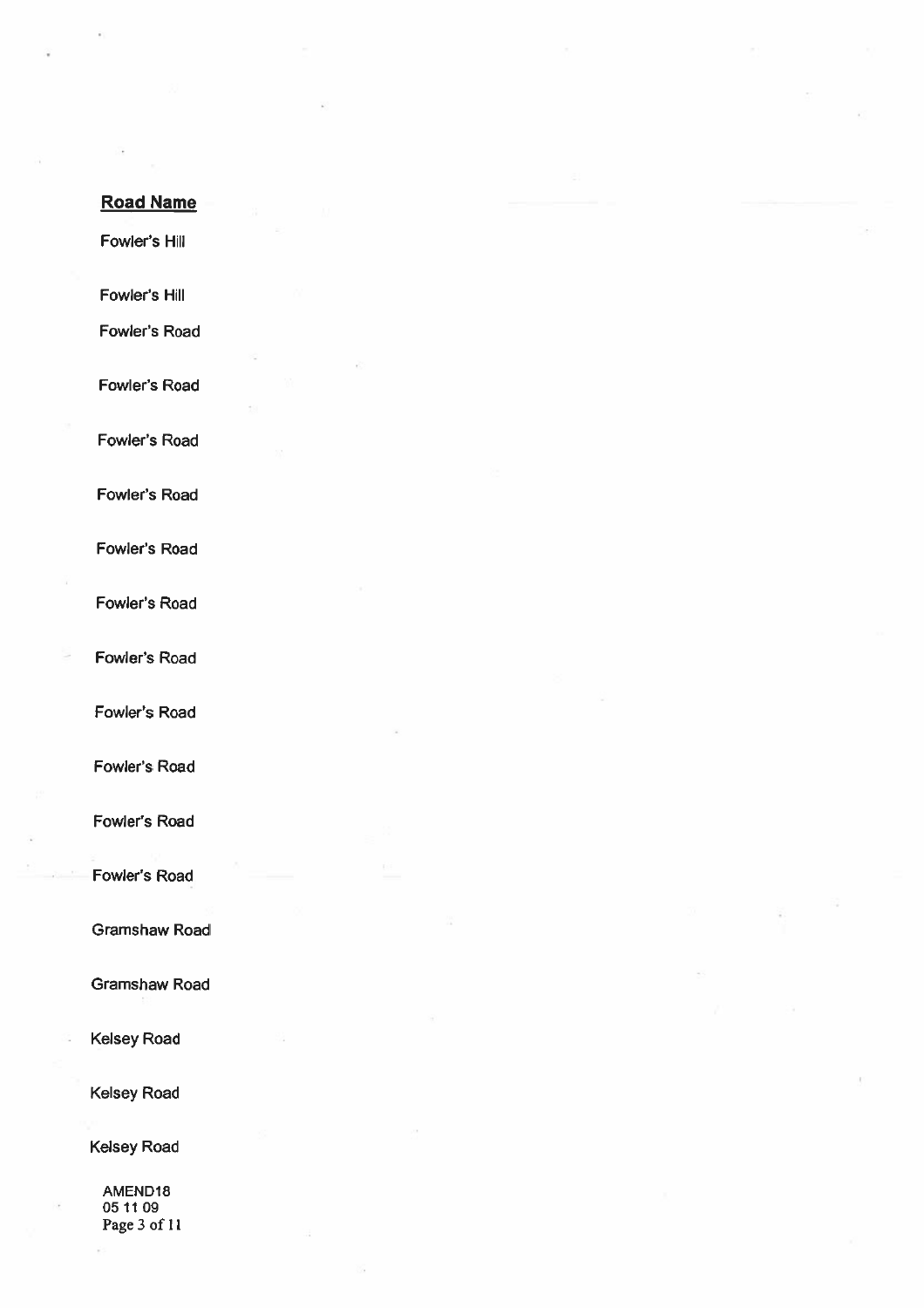## **Schedule 1 (continued) Deletions from Schedule 2 of the Order of 2000 No Waiting** At Any Time

| <b>Road Name</b>     | <b>Side</b>  | <b>Description</b>                                                                                                       |
|----------------------|--------------|--------------------------------------------------------------------------------------------------------------------------|
| Fowler's Hill        | North        | From a point 53 metres south-west of its junction with Shady Bower<br>to a point 58 metres south-west of that junction   |
| Fowler's Hill        | South        | The complete length                                                                                                      |
| <b>Fowler's Road</b> | <b>Both</b>  | From its junction with Fowler's Hill to a point 7 metres north-west of<br>that junction                                  |
| <b>Fowler's Road</b> | <b>North</b> | From a point 17 metres south-east of its junction with Methuen Drive<br>to a point 22 metres south-east of that junction |
| <b>Fowler's Road</b> | <b>North</b> | From a point 45 metres south-east of its junction with Methuen Drive<br>to a point 51 metres south-east of that junction |
| <b>Fowler's Road</b> | <b>North</b> | From a point 64 metres south-east of its junction with Methuen Drive<br>to a point 77 metres south-east of that junction |
| <b>Fowler's Road</b> | South        | From a point 13 metres north of its junction with Fowler's Hill to a<br>point 20 metres north of that junction           |
| <b>Fowler's Road</b> | South        | From a point 12 metres north of its junction with Byways Close to a<br>point 21 metres north of that junction            |
| <b>Fowler's Road</b> | South        | From a point 40 metres north of its junction with Byways Close to a<br>point 49 metres north of that junction            |
| <b>Fowler's Road</b> | South        | From a point 3 metres north-west of its junction with Methuen Drive<br>to a point 10 metres south east of that junction  |
| <b>Fowler's Road</b> | South        | From a point 14 metres north-west of its junction with Methuen Drive<br>to a point 19 metres north-west of that junction |
| <b>Fowler's Road</b> | South        | From a point 42 metres north-west of its junction with Methuen Drive<br>to a point 47 metres north-west of that junction |
| <b>Fowler's Road</b> | South-West   | From a point 35 metres north-west of its junction with Byways Close<br>to a point 40 metres north-west of that junction  |
| <b>Gramshaw Road</b> | West         | From a point 27 metres south of its junction with Wilton Road to a<br>point 35 metres south of that junction             |
| <b>Gramshaw Road</b> | West         | From a point 70 metres south of its junction with Wilton Road to its<br>southern end                                     |
| <b>Kelsey Road</b>   | <b>Both</b>  | From a point 12 metres west of the centreline of Wessex Road to a<br>point 12 metres east of that centerline             |
| <b>Kelsey Road</b>   | Inner Side   | The complete circumnavigation of the central Island opposite Nos.<br>19-25 Kelsey Road                                   |
| <b>Kelsey Road</b>   | <b>North</b> | From a point 16 metres west of its junction with Fairview Road to a<br>point 16 metres east of that junction             |
| AMEND18              |              |                                                                                                                          |

05 11 09 Page 3 of 11

s.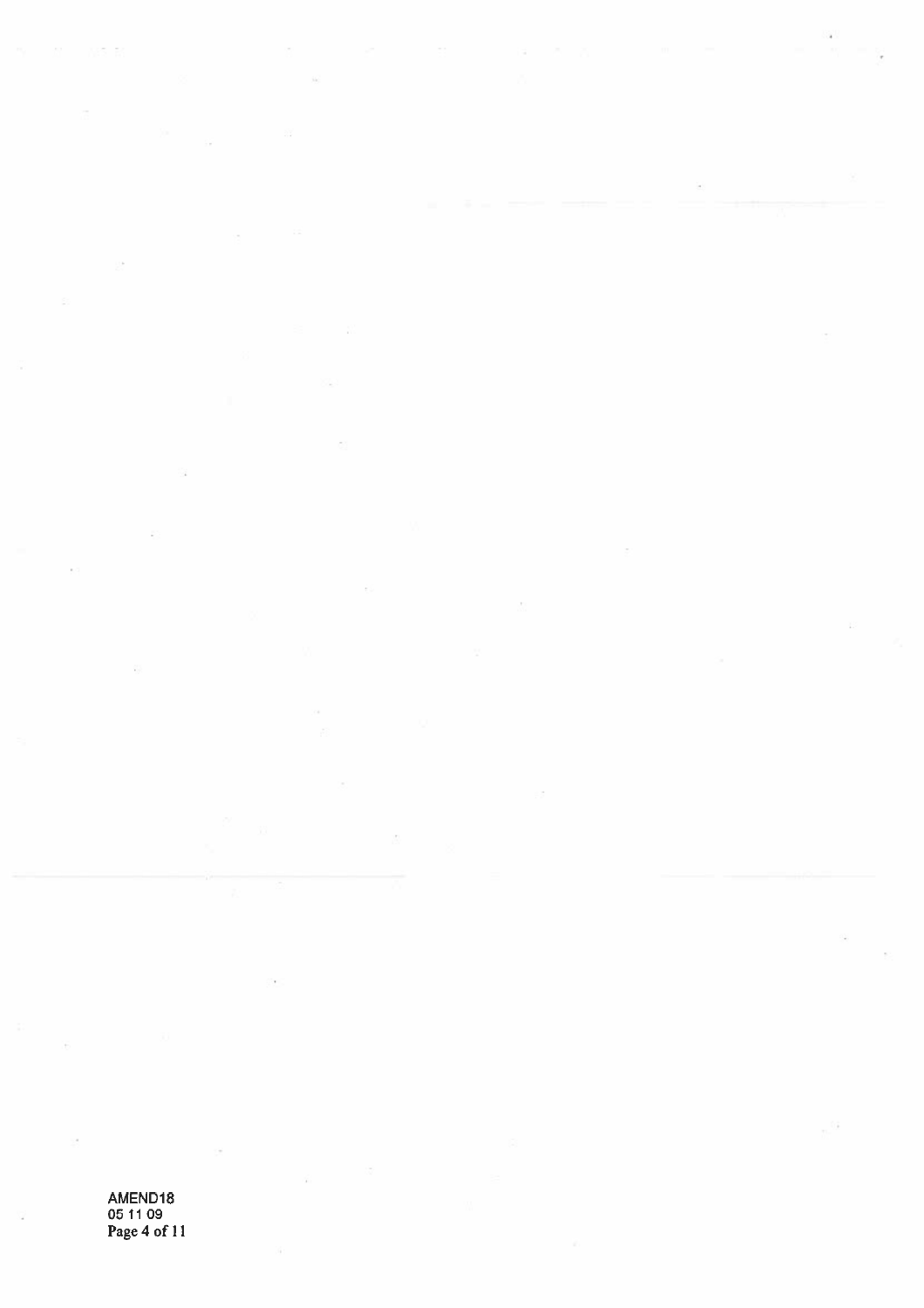#### <u>Schedule 1 (continued)</u> **Deletions** from Schedule 2 of the Order of 2000 No Waiting At Any Time

| <b>Road Name</b>                                   | <b>Side</b>        | <b>Description</b>                                                                                                                                       |  |
|----------------------------------------------------|--------------------|----------------------------------------------------------------------------------------------------------------------------------------------------------|--|
| <b>Kelsey Road</b>                                 | North              | From its junction with Rampart Road to a point 55 metres west of a<br>point in line with the boundary between Nos. 1 and 3 Elm Grove<br>Road             |  |
| <b>Kelsey Road</b>                                 | <b>North</b>       | From a point 15 metres west of its junction with Manor Road to a<br>point 22 metres east of that junction                                                |  |
| <b>Kelsey Road</b>                                 | South              | From its junction with Rampart Road to a point 16 metres west of a<br>point in line with the boundary between numbers 1 and 3 Elm Grove<br>Road          |  |
| <b>Kelsey Road Slip Road</b><br>From Churchill Way | <b>Both</b>        | The complete length                                                                                                                                      |  |
| <b>Laverstock Road</b>                             | <b>Both</b>        | From its junction with Milford Hill to a point 270 metres north-east of<br>that junction                                                                 |  |
| <b>Laverstock Road</b>                             | North              | From a point 41 metres west of the western face of the railway<br>bridge over Laverstock Road to a point 25 metres east of its junction<br>with Cow Lane |  |
| <b>Laverstock Road</b>                             | South <sup>1</sup> | From a point 105 metres west of its junction with Manor Farm Road<br>to a point 25 metres east of that junction                                          |  |
| <b>Manor Road</b>                                  | <b>Both</b>        | From its junction with Kelsey Road to a point 13 metres north of that<br>junction                                                                        |  |
| <b>Manor Road</b>                                  | North-west         | From its junction with Wain-a-long Road to a point 13 metres west of<br>that junction                                                                    |  |
| <b>Manor Road</b>                                  | North-west         | From a point 38 metres west of its junction with Wain-a-long Road to<br>a point 112 metres south-west of that junction                                   |  |
| <b>Manor Road</b>                                  | East & South       | From a point 15 metres south of its junction with Fairview Road to its<br>junction with Wain-a-Long Road                                                 |  |
| Marina Road                                        | South              | From a point 33 metres west of its junction with Tollgate Road to a<br>point 37 metres west of that junction                                             |  |
| <b>Methuen Drive</b>                               | South-East         | From a point 10 metres north-east of its junction with Fowler's Road<br>to a point 42 metres north-east of that junction                                 |  |
| <b>Milford Hill</b>                                | <b>North</b>       | From its junction with Fowlers Road to its junction with Laverstock<br>Road                                                                              |  |
| Polden Road                                        | East               | From a point 23 metes south of its junction with Waterloo Road to a<br>point 30 metres south of that junction                                            |  |
| Polden Road                                        | West               | The complete length                                                                                                                                      |  |
| <b>Shady Bower</b>                                 | South              | From a point 37 metres north-west of its junction with Fowler's Hill to<br>a point 65 metres north-west of that junction                                 |  |

**AMENDI8** 051109 Page 4 of 11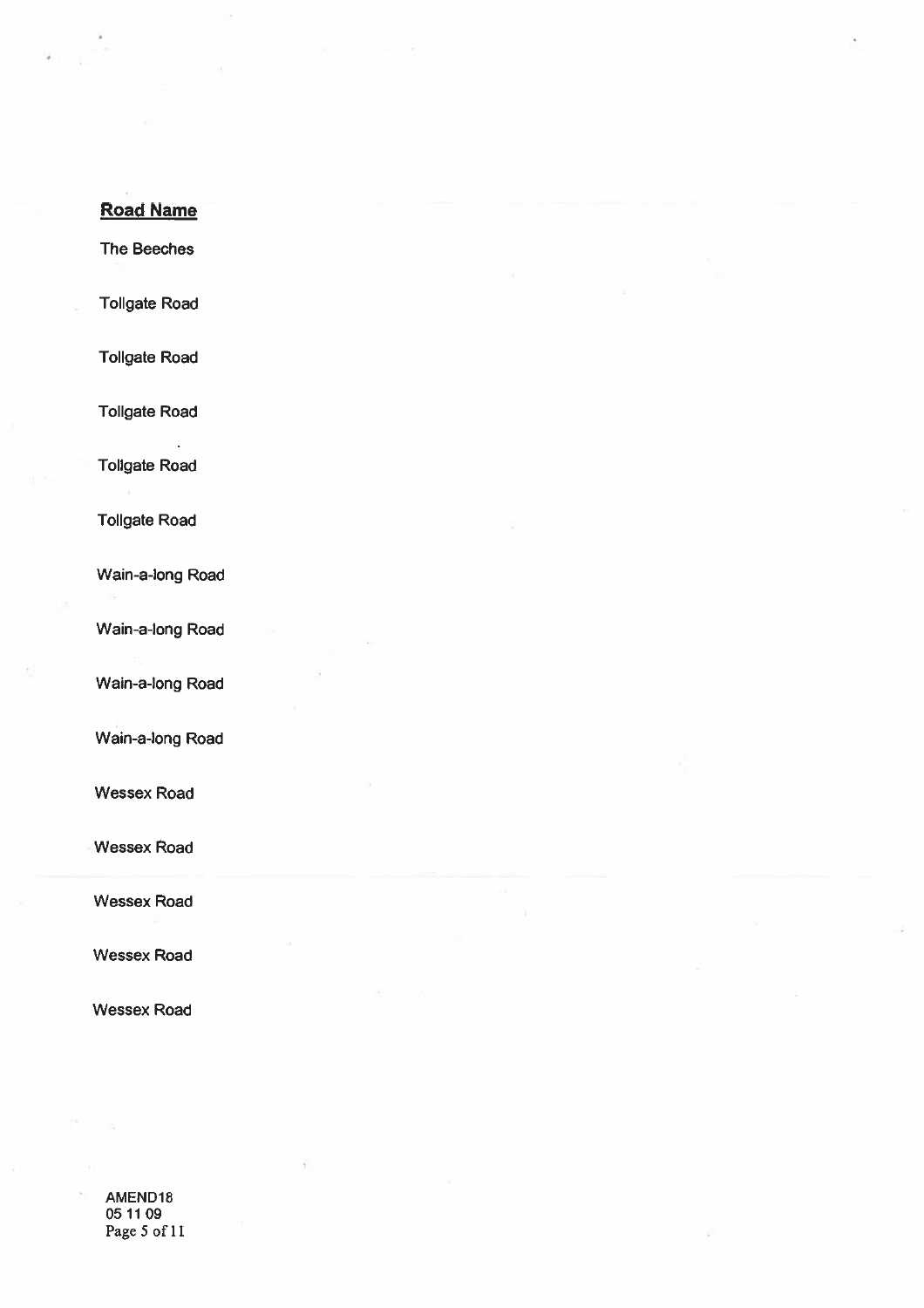## **Schedule** 1(contlinued) **Deletions from Schedule 2 of the** Order of 2000 **No Waiting At** Any Time

 $\frac{1}{2}$ 

| <b>Road Name</b>     | <b>Side</b>  | <b>Description</b>                                                                                                        |
|----------------------|--------------|---------------------------------------------------------------------------------------------------------------------------|
| <b>The Beeches</b>   | South        | From a point 26 metres east of its junction with Tollgate Road to a<br>point 32 metres east of that junction              |
| <b>Tollgate Road</b> | East         | From a point 39 metres north of its junction with Waterloo Road to a<br>point 43 metres north of that junction            |
| <b>Tollgate Road</b> | <b>North</b> | From a point 97 metres south-east of its junction with Fowler's Hill to<br>a point 121 metres south-east of that junction |
| <b>Tollgate Road</b> | North-East   | From a point 37 metres south-east of its junction with Fowler's Hill to<br>a point 45 metres south-east of that junction  |
| <b>Tollgate Road</b> | North-East   | From a point 27 metres north of its junction with Waterloo Road to a<br>point 31 metres north of that junction            |
| <b>Tollgate Road</b> | West         | From a point 48 metres north of its junction with Southampton Road<br>to a point 63 metres north of that junction         |
| Wain-a-long Road     | East         | From its junction with St Mark's Roundabout to a point 35 metres<br>south of its junction with Manor Road                 |
| Wain-a-long Road     | South-West   | From a point 15 metres north-west of its junction with Wessex Road<br>to a point 15 metres south-east of that junction    |
| Wain-a-long Road     | West         | From a point 10 metres north of its junction with Manor Road to a<br>point 35 metres south of that junction               |
| Wain-a-long Road     | West         | From its junction with St Mark's Roundabout to a point 55 metres<br>north of its junction with Manor Road                 |
| <b>Wessex Road</b>   | East         | From a point 6 metres south of its junction with Kelsey Road to a<br>point 6 metres north of that junction                |
| <b>Wessex Road</b>   | East         | From its junction with Wain-a-long Road to a point 10 metres south-<br>west of that junction                              |
| <b>Wessex Road</b>   | West         | From its junction with Elm Grove Road to a point 15 metres north of<br>that junction                                      |
| <b>Wessex Road</b>   | West         | From a point 6 metres south of its junction with Kelsey Road to a<br>point 6 metres north of that junction                |
| <b>Wessex Road</b>   | <b>West</b>  | From its junction with Wain-a-long Road to a point 10 metres south<br>of that junction                                    |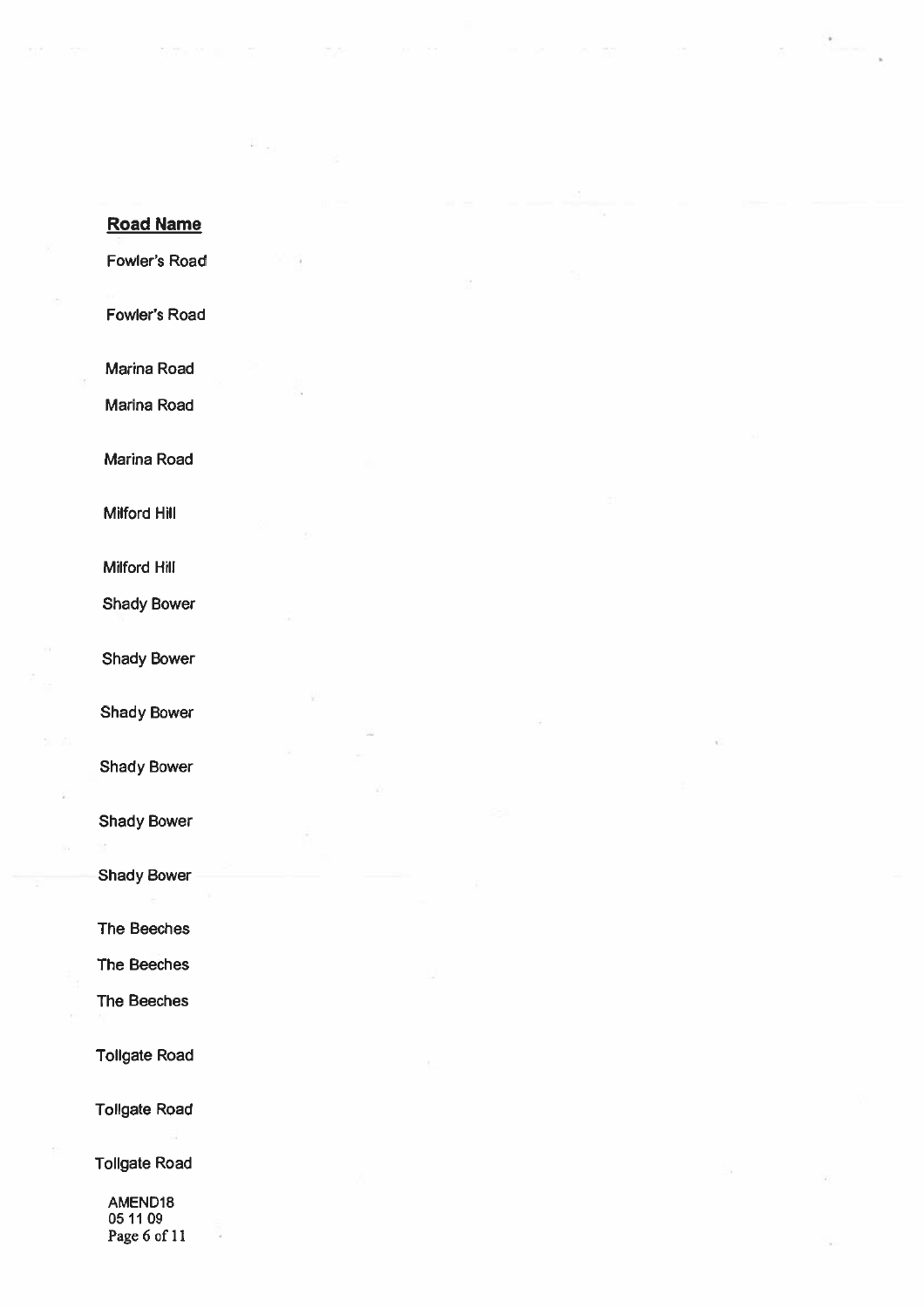#### **Schedule 2 Deletions from Schedule 3 of the Order of 2000** <u>No Waiting Mon-Sat 8am-7pm</u>

 $\bar{\mathbb{Z}}$ 

| <b>Road Name</b>     | <b>Side</b>       | <b>Description</b>                                                                                                                               |
|----------------------|-------------------|--------------------------------------------------------------------------------------------------------------------------------------------------|
| <b>Fowler's Road</b> | East              | From its junction with Milford Hill to a point 10 metres south of that<br>junction                                                               |
| <b>Fowler's Road</b> | West              | From its junction with Milford Hill to a point 18 metres south of that<br>junction                                                               |
| Marina Road          | North & East      | The complete length                                                                                                                              |
| Marina Road          | South             | From its junction with Tollgate Road to a point 13 metres west of that<br>junction                                                               |
| Marina Road          | West              | From a point 10 metres south-east of its junction with the entrance to<br>the College to a point 10 metres north-west of that junction           |
| <b>Milford Hill</b>  | South             | From its junction with Fowler's Road to a point 18 metres east of that<br>junction                                                               |
| <b>Milford Hill</b>  | South             | From the eastern boundary of No 31 to its junction with Shady Bower                                                                              |
| <b>Shady Bower</b>   | <b>North</b>      | From its junction with Fowler's Hill to a point 30 metres south-east of<br>its junction with Courtwood Close                                     |
| <b>Shady Bower</b>   | <b>North-East</b> | From a point 15 metres north-west of its junction with Courtwood<br>Close to a point 10 metres south-east of that junction                       |
| <b>Shady Bower</b>   | North             | From a point 55 metres north-west of its junction with Courtwood<br>Close to its junction with Milford Hollow                                    |
| <b>Shady Bower</b>   | South             | From its junction with Milford Hill to a point 10 metres south-east of<br>its junction with St Margaret's Close                                  |
| <b>Shady Bower</b>   | South             | From a point 10 metres south-east of its junction with St Margaret's<br>Close to a point 65 metres north-west of its junction with Fowler's Hill |
| <b>Shady Bower</b>   | South             | From its junction with Fowler's Hill to a point 37 metres north-west of<br>that junction                                                         |
| The Beeches          | <b>All</b>        | The hammerhead at eastern end of road                                                                                                            |
| The Beeches          | <b>North</b>      | The complete length                                                                                                                              |
| The Beeches          | South             | From its junction with Tollgate Road to a point 13 metres east of that<br>junction                                                               |
| <b>Tollgate Road</b> | East              | From a point 22 metres north of its junction with Waterloo Road to a<br>point 16 metres south of that junction                                   |
| <b>Tollgate Road</b> | East              | From a point 15 metres north-west of its junction with Blakey Road to<br>a point 15 metres to a point 15 metres south-east of that junction      |
| <b>Tollgate Road</b> | East              | From a point 12 metres north of its junction with The Beeches to a<br>point 12 metres south of that junction                                     |
| AMEND18<br>05 11 09  |                   |                                                                                                                                                  |

Page 6 of 11

52

i.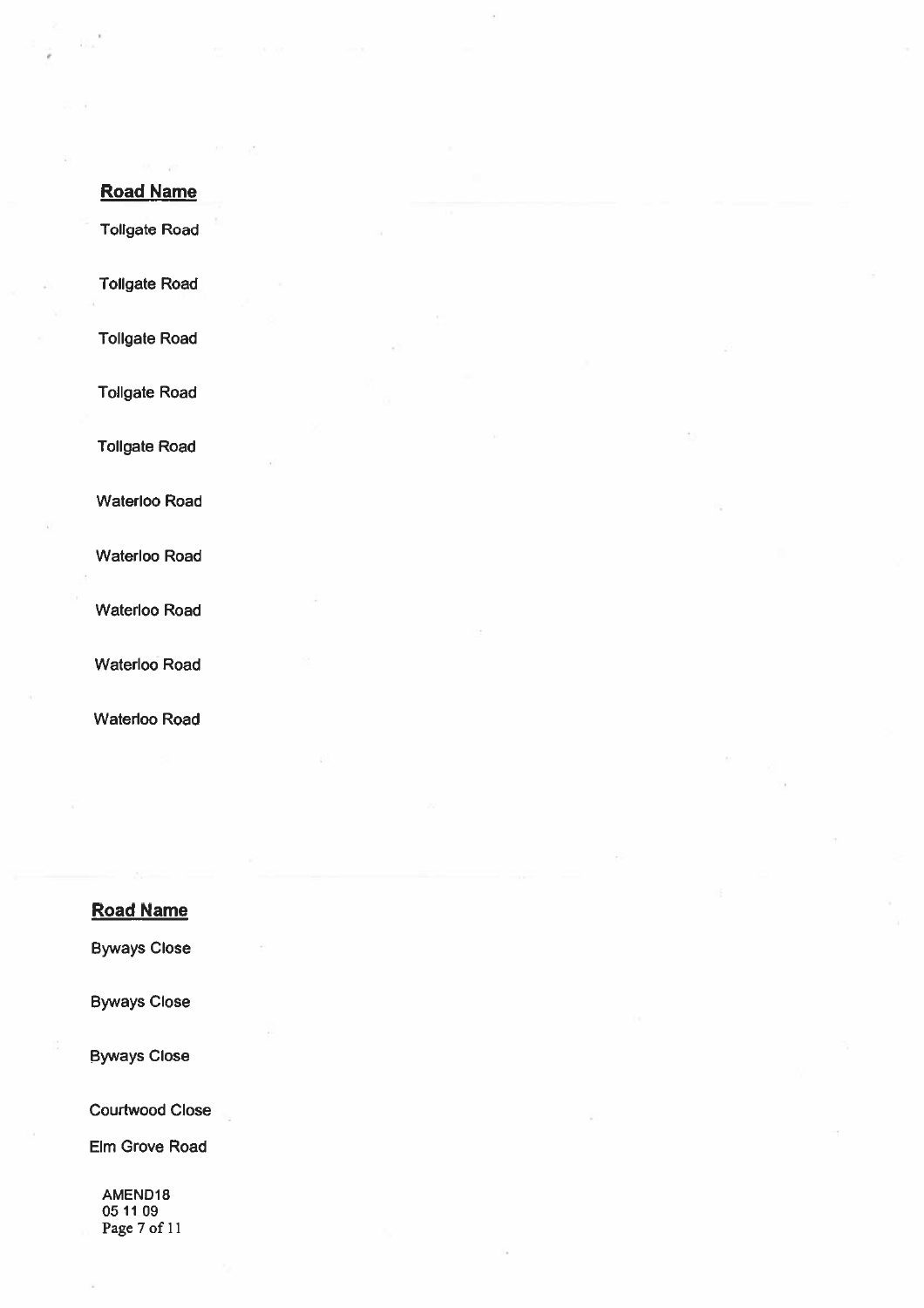#### **Schedule 2 Deletions from Schedule 3 of the Order of 2000 No Waiting Mon-Sat 8am-7pm**

| <b>Road Name</b>     | <b>Side</b>                  | <b>Description</b>                                                                                                                  |
|----------------------|------------------------------|-------------------------------------------------------------------------------------------------------------------------------------|
| <b>Tollgate Road</b> | East                         | From its junction with Southampton Road to a point 18 metres north<br>of that junction                                              |
| <b>Tollgate Road</b> | East                         | From a point 16 metres south of its junction with Waterloo Road to a<br>point 18 metres north of its junction with Southampton Road |
| <b>Tollgate Road</b> | North &<br>North-East        | From its junction with Rampart Road to a point 23 metres east of its<br>junction with Fowler's Hill                                 |
| <b>Tollgate Road</b> | South, South-<br>West & West | From its junction with Rampart Road to a point 63 metres north of its<br>junction with Southampton Road                             |
| <b>Tollgate Road</b> | West                         | From its junction with Southampton Road for a distance of 48 metres<br>northwards                                                   |
| <b>Waterloo Road</b> | <b>North</b>                 | From its junction with Tollgate Road to a point 100 metres east of<br>that junction                                                 |
| <b>Waterloo Road</b> | <b>North</b>                 | From a point 122 metres east of its junction with Tollgate Road to a<br>point 148 metres east of that junction                      |
| <b>Waterloo Road</b> | South                        | From its junction with Tollgate Road to a point 13 metres east of that<br>junction                                                  |
| <b>Waterloo Road</b> | South                        | From a point 40 metres east of its junction with Tollgate Road to a<br>point 48 metres east of that junction                        |
| <b>Waterloo Road</b> | South                        | From a point 8 metres west of its junction with Polden Road to the<br>eastern end                                                   |

## Schedule 3 Deletions from Schedule 5 of the Order of 2000 No Wafting **Mon-Sat 9am-5pm**

| <b>Road Name</b>       | <b>Side</b>  | <b>Description</b>                                                                                         |
|------------------------|--------------|------------------------------------------------------------------------------------------------------------|
| <b>Byways Close</b>    | <b>North</b> | From its junction with Fowler's Road to a point 6 metres north-east of<br>that junction                    |
| <b>Byways Close</b>    | <b>North</b> | From a point 26 metres north-east of its junction with Fowler's Road<br>to its northern end                |
| <b>Byways Close</b>    | South        | From its junction with Fowler's Road to a point 27 metres north-east<br>of that junction                   |
| <b>Courtwood Close</b> | All          | The complete length                                                                                        |
| Elm Grove Road         | North        | From a point 58 metres west of its junction with Wessex Road to a<br>point 76 metres west of that junction |

**AMEND18 05 11 09** Page 7 of 11

泥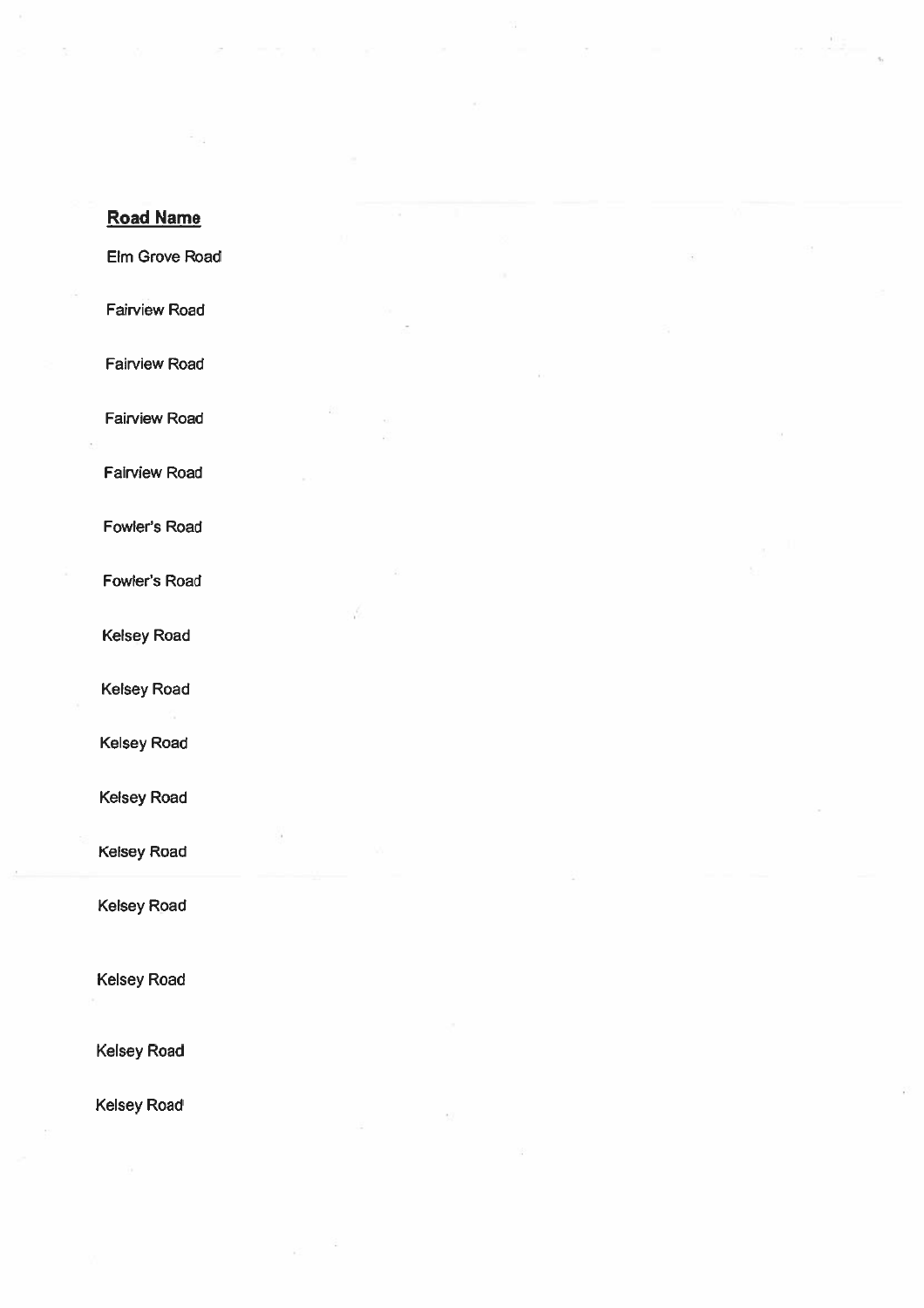### **Schedule 3 (continued) Deletions from Schedule 5 of the Order of 2000 No Waiting Mon**-**Sat 9am-5pm**

 $\frac{1}{2}$ 

| <b>Road Name</b>      | <b>Side</b>  | <b>Description</b>                                                                                                                              |
|-----------------------|--------------|-------------------------------------------------------------------------------------------------------------------------------------------------|
| <b>Elm Grove Road</b> | North-East   | From a point 45 metres north-west of its junction with Clarendon<br>Road to a point 55 metres north-west of that junction                       |
| <b>Fairview Road</b>  | East         | from a point 30 metres north of its junction with Kelsey Road to a<br>point 37 metres north of that junction                                    |
| <b>Fairview Road</b>  | East         | from a point 48 metres north of its junction with Kelsey Road to a<br>point 55 metres north of that junction                                    |
| <b>Fairview Road</b>  | East         | from a point 133 metres north of its junction with Kelsey Road to a<br>point 138 metres north of that junction                                  |
| <b>Fairview Road</b>  | West         | from a point 10 metres north of its junction with Kelsey Road to a<br>point 58 metres south-east of its junction with Manor Road                |
| <b>Fowler's Road</b>  | <b>North</b> | From a point 10 metres north-west of its junction with Methuen Drive<br>to a point 17 metres south-east of that junction                        |
| <b>Fowler's Road</b>  | <b>North</b> | From a point 10 metres north of its junction with Byways Close to a<br>point 10 metres south of that junction                                   |
| <b>Kelsey Road</b>    | <b>North</b> | From a point 63 metres west of its junction with Manor Road to a<br>point 70 metres west of that junction                                       |
| <b>Kelsey Road</b>    | <b>North</b> | From a point 42 metres east of its junction with Manor Road to a<br>point 58 metres east of that junction                                       |
| <b>Kelsey Road</b>    | <b>North</b> | From a point 32 metres west of the centreline of Wessex Road to a<br>point 27 metres west of that centerline                                    |
| <b>Kelsey Road</b>    | <b>North</b> | From a point 26 metres east of the centreline of Wessex Road to a<br>point 31 metres east of that centerline                                    |
| <b>Kelsey Road</b>    | <b>North</b> | From a point 50 metres east of the centreline of Wessex Road to a<br>point 60 metres east of that centerline                                    |
| <b>Kelsey Road</b>    | <b>North</b> | From a point 10 metres west of a point in line with the boundary<br>between Nos. 27 and 29 Kelsey Road for a distance of 10 metres<br>westwards |
| <b>Kelsey Road</b>    | <b>North</b> | From a point 8 metres east of a point in line with the boundary<br>between Nos. 27 and 29 Kelsey Road for a distance of 14 metres<br>eastwards  |
| <b>Kelsey Road</b>    | <b>North</b> | From its junction with Bourne Avenue to a point 30 metres east of a<br>point in line with the boundary between Nos. 27 and 29 Kelsey Road       |
| <b>Kelsey Road</b>    | <b>South</b> | From a point 1 metre west of a point in line with the boundary<br>between Nos. 1 and 3 Elm Grove Road for a distance of 5 metres<br>westwards   |

**AMEND18 05 11 09 Page 8 of 11**

 $\sim$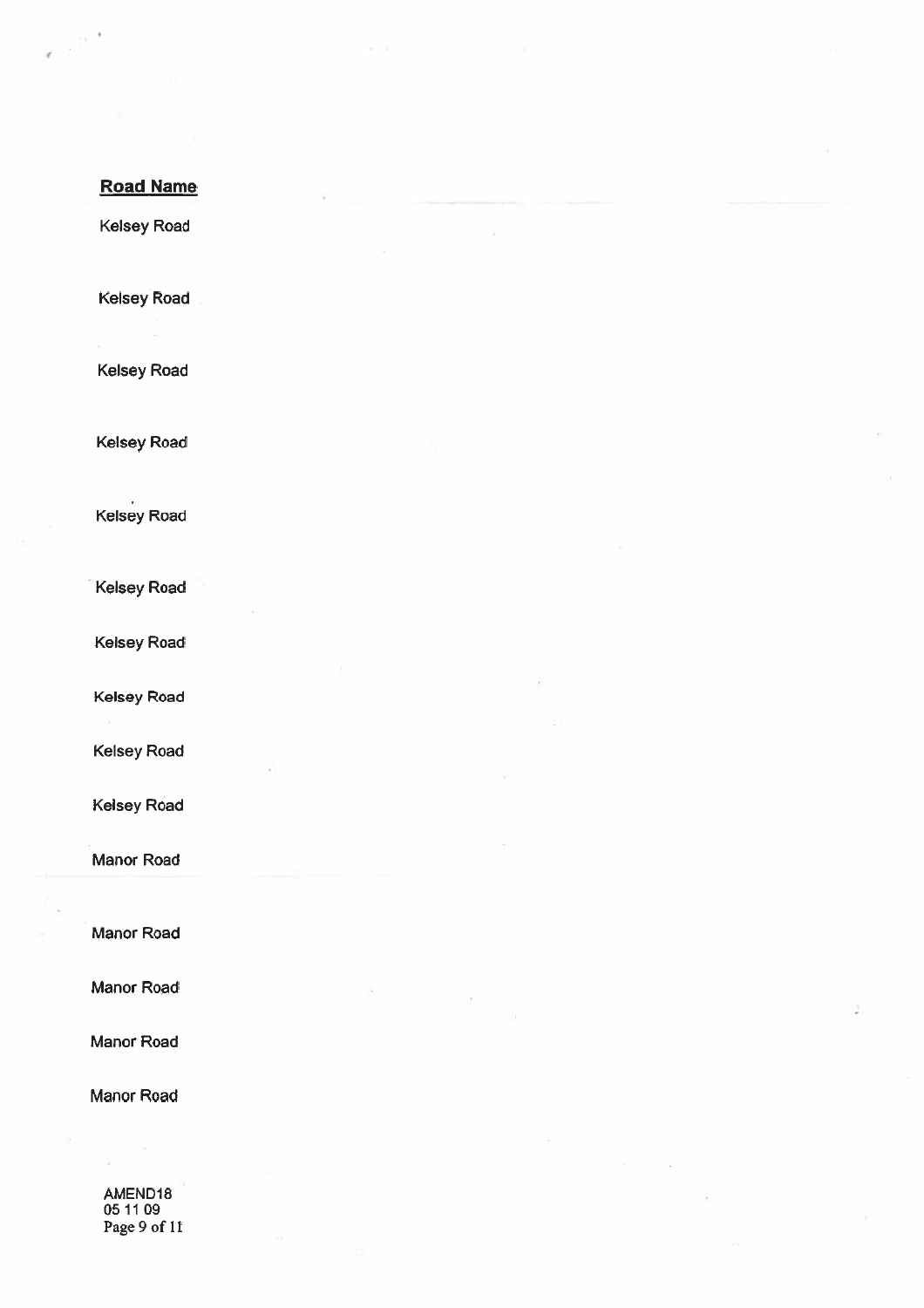#### **Schedule 3 (continued) Deletions from Schedule 5 of the Order of 2000 No Waiting Mon-Sat 9am-5pm**

| <b>Road Name</b>   | <b>Side</b>  | <b>Description</b>                                                                                                                                     |
|--------------------|--------------|--------------------------------------------------------------------------------------------------------------------------------------------------------|
| <b>Kelsey Road</b> | South        | From a point 5 metres east of a point in line with the boundary<br>between Nos. 1 and 3 Elm Grove Road for a distance of 6 metres<br>eastwards         |
| <b>Kelsey Road</b> | South        | From a point 17 metres east of a point in line with the boundary<br>between Nos. 1 and 3 Elm Grove Road for a distance of 5 metres<br>eastwards        |
| <b>Kelsey Road</b> | South        | From a point 22 metres west of the centreline of the footpath along<br>the east side of No. 17 Elm Grove Road for a distance of 19 metres<br>westwards |
| <b>Kelsey Road</b> | South        | From a point 11 metres west of the centreline of the footpath along<br>the east side of No. 17 Elm Grove Road for a distance of 22 metres<br>eastwards |
| <b>Kelsey Road</b> | South        | From a point 27 metres east of the centreline of the footpath along<br>the east side of No. 17 Elm Grove Road for a distance of 10 metres<br>eastwards |
| <b>Kelsey Road</b> | South        | From a point 5 metres east of the centreline of Fairview Road to a<br>point 10 metres west of that centerline                                          |
| <b>Kelsey Road</b> | South        | From a point 11 metres east of the centreline of Fairview Road to a<br>point 16 metres east of that centerline                                         |
| <b>Kelsey Road</b> | South        | From a point 22 metres west of the centreline of Wessex Road to a<br>point 27 metres west of that centerline                                           |
| <b>Kelsey Road</b> | <b>South</b> | From a point 12 metres east of the centreline of Wessex Road to a<br>point 60 metres east of that centerline                                           |
| <b>Kelsey Road</b> | <b>South</b> | From its junction with Bourne Avenue to a point 3 metres east of a<br>point in line with the boundary between Nos. 48 and 50 Kelsey Road               |
| <b>Manor Road</b>  | East         | From a point 1 metre north of a point in line with the boundary<br>between Nos. 20 and 22 Manor Road for a distance of 7 metres<br>northwards          |
| <b>Manor Road</b>  | East         | From a point 3 metres north of a point in line with the boundary of<br>Nos. 22 and 30 Manor Road for a distance of 5 metres northwards                 |
| <b>Manor Road</b>  | East         | From a point 35 metres south of the centreline of Fairview Road to a<br>point 40 metres south of that centerline                                       |
| Manor Road         | East         | From a point 62 metres south of the centreline of Fairview Road to a<br>point 72 metres south of that centerline                                       |
| Manor Road         | East         | From a point 83 metres south of the centreline of Fairview Road to a<br>point 88 metres south of that centerline                                       |

 $\sim$ 

AMENDI8 05 11 09 Page 9 of 11

 $\widetilde{\mathfrak{g}}_0$ 

 $\lesssim$   $\,$  $\omega_{t}$ ¥.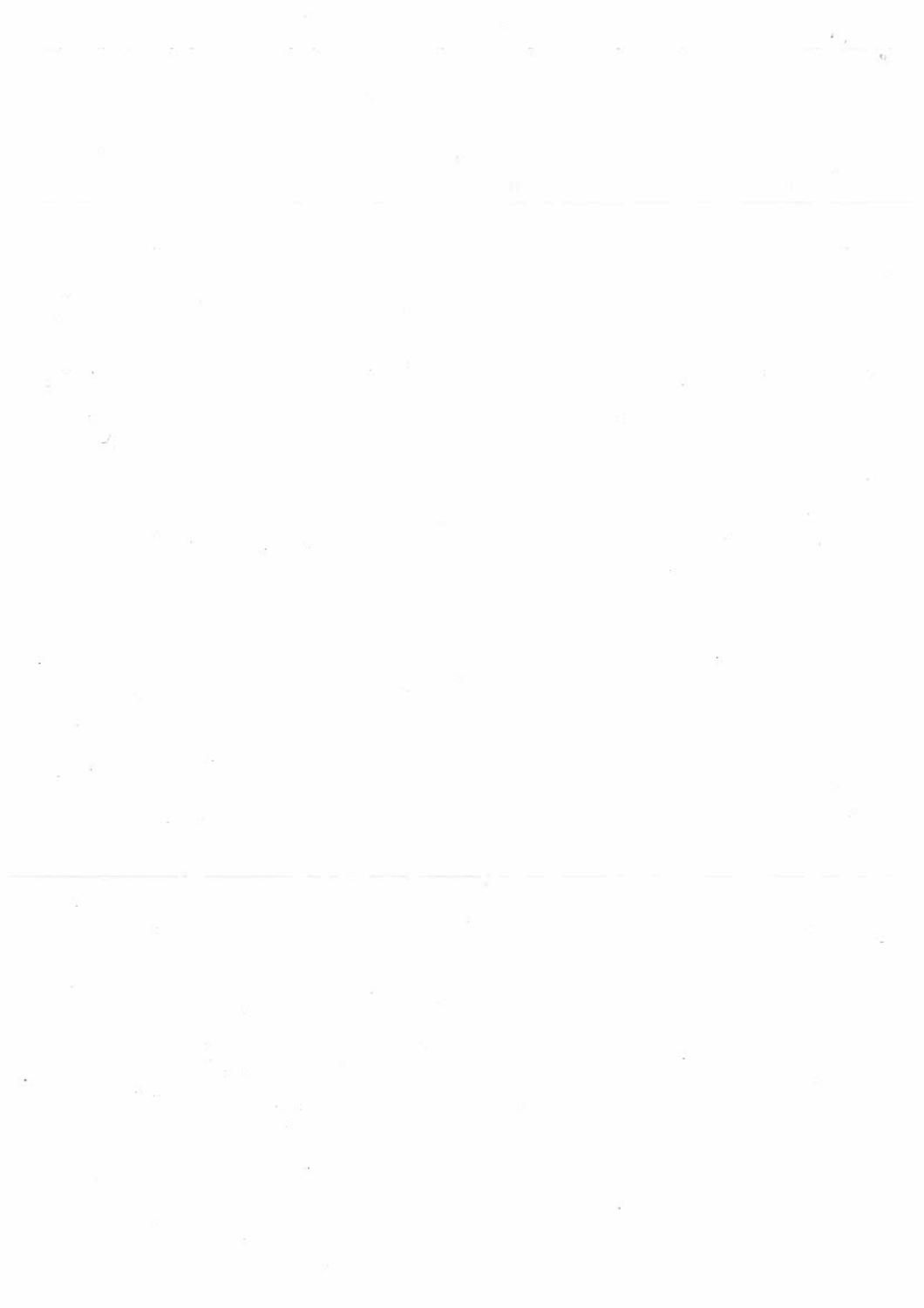## **Schedule 3 (continued) Deletions from Schedule 5 of the Order of\_ 2000 No Waftin**g **Mon-Sat 9am-5**p**<sup>m</sup>**

 $\sim$ 

 $\tilde{\tau}_2^0$ 

 $\frac{1}{\alpha} \frac{1}{\alpha} \frac{1}{\alpha}$ 

| <b>Road Name</b>                     | <b>Side</b>  | <b>Description</b>                                                                                                                                        |
|--------------------------------------|--------------|-----------------------------------------------------------------------------------------------------------------------------------------------------------|
| <b>Manor Road</b>                    | West         | From a point 21 metres north of its junction with Kelsey Road to a<br>point 25 metres north of that junction                                              |
| <b>Manor Road</b>                    | West         | From a point 32 metres north of its junction with Kelsey Road to a<br>point 74 metres north of that junction                                              |
| <b>Manor Road</b>                    | West         | From a point 20 metres south of its junction with Rougemont Close<br>to a point 28 metres north of that junction                                          |
| <b>Manor Road</b>                    | West         | From a point 71 metres north of its junction with Rougemont Close to<br>a point 77 metres north of that junction                                          |
| <b>Manor Road</b>                    | West         | From a point 84 metres north of its junction with Rougemont Close to<br>a point 90 metres north of that junction                                          |
| <b>Manor Road</b>                    | West         | From a point 99 metres north of its junction with Rougemont Close to<br>a point 104 metres north of that junction                                         |
| <b>Manor Road</b>                    | West         | From a point 113 metres north of its junction with Rougemont Close<br>to a point 118 metres north of that junction                                        |
| <b>Methuen Drive</b>                 | <b>North</b> | From its junction with Fowler's Road to a point 6 metres north-east of<br>that junction                                                                   |
| <b>Methuen Drive</b>                 | North-West   | From a point 20 metres north-east of its junction with Fowlers Road<br>to its north-eastern end                                                           |
| <b>Methuen Drive</b>                 | South-East   | From its junction with Fowler's Road to a point 10 metres north-east<br>of that junction                                                                  |
| <b>Methuen Drive</b>                 | South-East   | From a point 60 metres north-east of its junction with Fowlers Road<br>to its north-eastern end                                                           |
| <b>Rougemont Close</b>               | <b>North</b> | From its junction with Manor Road to a point 5 metres north-west of<br>that junction                                                                      |
| <b>Rougemont Close</b>               | North & West | From a point 35 metres west of its junction with Manor Road to its<br>southern end                                                                        |
| <b>Rougemont Close</b>               | South & East | From its junction with Manor Road to its southern end                                                                                                     |
| St. Margaret's Close                 | All          | The complete length excluding the 2 parking spaces in the extreme<br>southern turning area for residents parking adjacent to No 16 St<br>Margaret's Close |
| <b>Wessex Road</b>                   | South & East | from its southern end to a point 18 metres north of that end including<br>the whole of the south kerb of the turning area                                 |
| <b>Wessex Road</b>                   | East         | From a point 13 metres north of its junction with Kelsey Road to a<br>point 27 metres north of that junction                                              |
| <b>Wessex Road</b>                   | East         | From a point 10 metres south of its junction with Wain-a-long Road<br>to a point 52 metres south of that junction                                         |
| AMEND18<br>05 11 09<br>Page 10 of 11 |              |                                                                                                                                                           |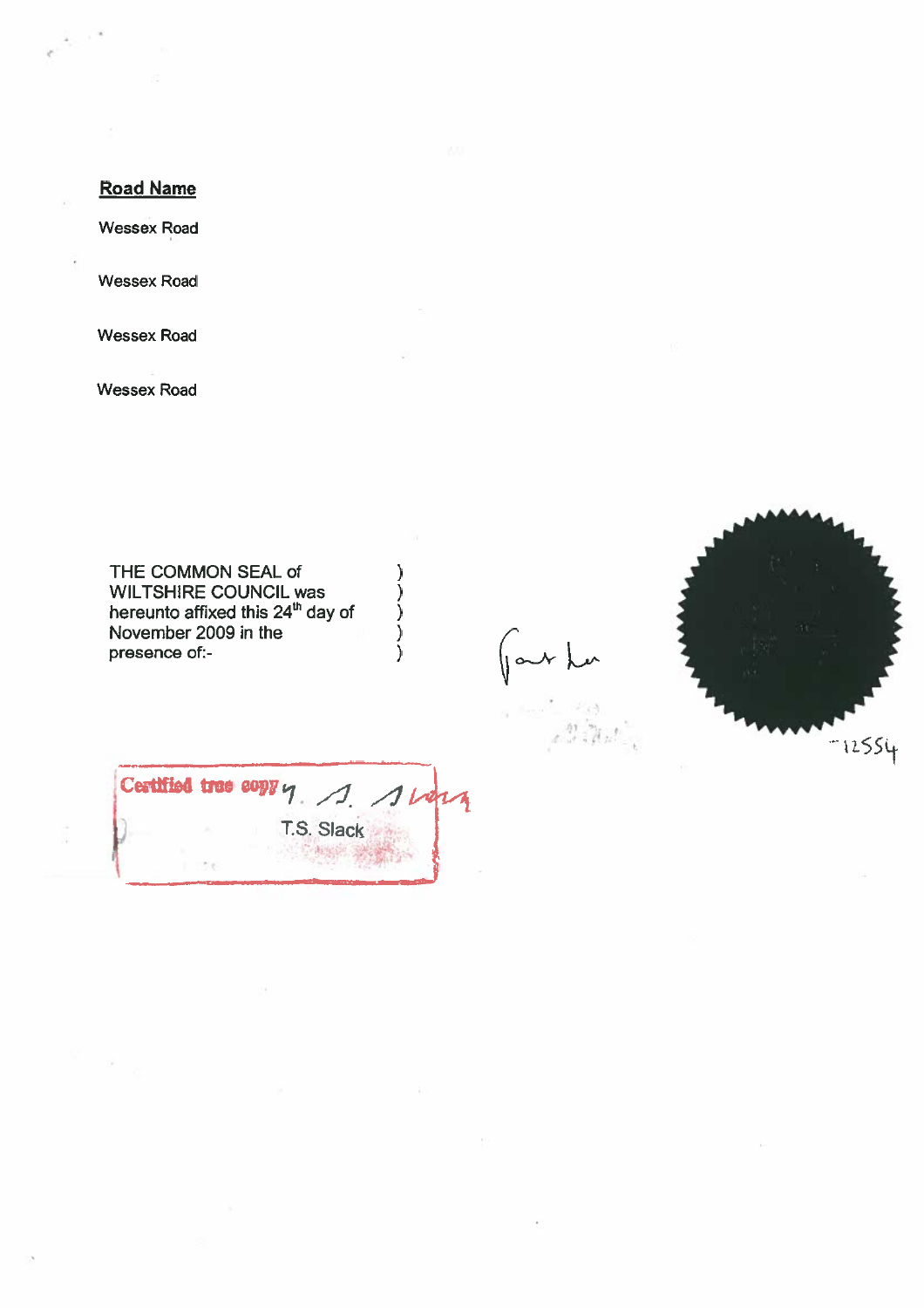# Schedule 3 (continued) **Deletions** from Schedule 5 of the Order of 2000 **No Waiting Mon**-**Sat 9am-5pm**

| <b>Road Name</b>   | <b>Side</b> | <b>Description</b>                                                                                                             |
|--------------------|-------------|--------------------------------------------------------------------------------------------------------------------------------|
| <b>Wessex Road</b> | West        | From a point 15 metres north of its junction with Elm Grove Road to<br>a point 6 metres south of its junction with Kelsey Road |
| Wessex Road        | West        | From a point 6 metres north of its junction with Kelsey Road to a<br>point 57 north of that junction                           |
| <b>Wessex Road</b> | West        | From a point 37 metres south of its junction with Wain-a-long Road<br>to a point 41 metres south of that junction              |
| Wessex Road        | West        | From a point 47 metres south of its junction with Wain-a-long Road<br>to a point 51 metres south of that junction              |

١  $\lambda$ )  $\overline{\mathbf{)}$ 

THE COMMON SEAL of WILTSHIRE COUNCIL was **hereunto affixed this 24th day of November 2009 in the**

November 2009 in the<br>presence of:-<br>Principal advisory



| Certified true copy 7 1 1414         |  |  |  |
|--------------------------------------|--|--|--|
| <b>Hincipal Solicitor</b> T.S. Slack |  |  |  |